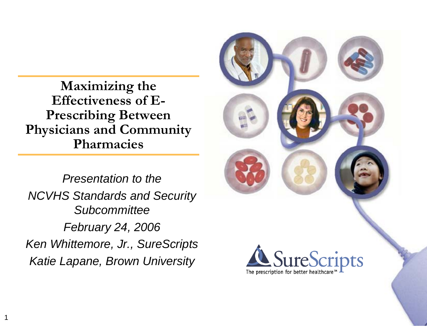**Maximizing the Effectiveness of E-Prescribing Between Physicians and Community Pharmacies**

*Presentation to theNCVHS Standards and Security SubcommitteeFebruary 24, 2006 Ken Whittemore, Jr., SureScripts Katie Lapane, Brown University*

1

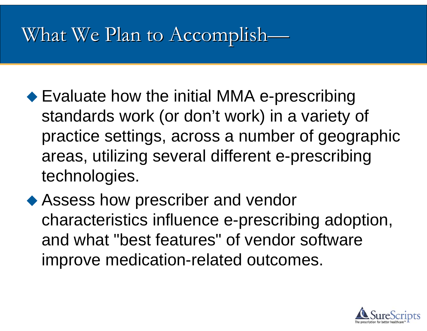### What We Plan to Accomplish—

- ◆ Evaluate how the initial MMA e-prescribing standards work (or don't work) in a variety of practice settings, across a number of geographic areas, utilizing several different e-prescribing technologies.
- ◆ Assess how prescriber and vendor characteristics influence e-prescribing adoption, and what "best features" of vendor software improve medication-related outcomes.

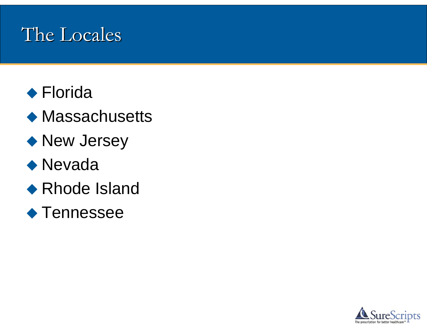### The Locales

- ◆ Florida
- ◆ Massachusetts
- ◆ New Jersey

### ◆ Nevada

◆ Rhode Island

#### ◆ Tennessee

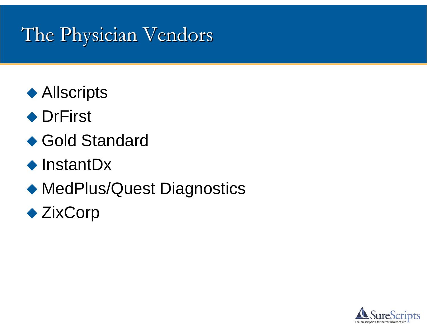## The Physician Vendors

- ◆ Allscripts
- ◆ DrFirst
- ◆ Gold Standard
- $\triangle$  InstantDx
- ◆ MedPlus/Quest Diagnostics
- ◆ ZixCorp

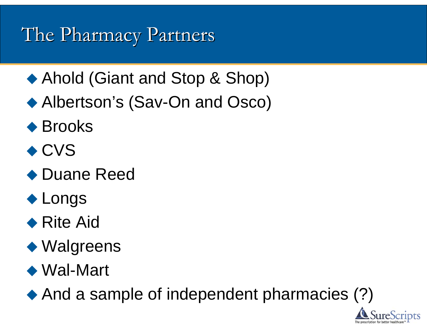## The Pharmacy Partners

- ◆ Ahold (Giant and Stop & Shop)
- ◆ Albertson's (Sav-On and Osco)
- ◆ Brooks
- ◆ CVS
- ◆ Duane Reed
- ◆ Longs
- ◆ Rite Aid
- ◆ Walgreens
- ◆ Wal-Mart

◆ And a sample of independent pharmacies (?)

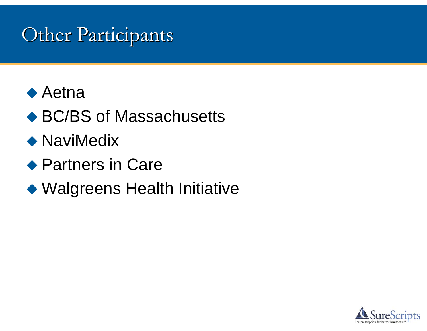### **Other Participants**



- ◆ BC/BS of Massachusetts
- ◆ NaviMedix
- ◆ Partners in Care
- Walgreens Health Initiative

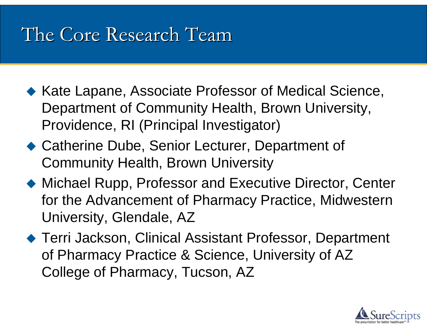### The Core Research Team

- ◆ Kate Lapane, Associate Professor of Medical Science, Department of Community Health, Brown University, Providence, RI (Principal Investigator)
- ◆ Catherine Dube, Senior Lecturer, Department of Community Health, Brown University
- ◆ Michael Rupp, Professor and Executive Director, Center for the Advancement of Pharmacy Practice, Midwestern University, Glendale, AZ
- ◆ Terri Jackson, Clinical Assistant Professor, Department of Pharmacy Practice & Science, University of AZ College of Pharmacy, Tucson, AZ

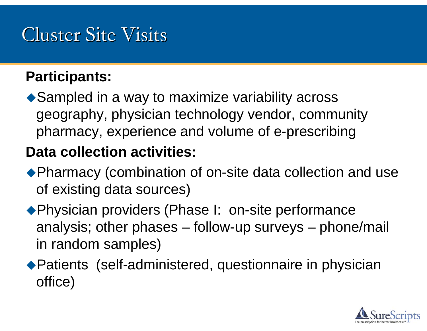## **Cluster Site Visits**

#### **Participants:**

◆ Sampled in a way to maximize variability across geography, physician technology vendor, community pharmacy, experience and volume of e-prescribing

#### **Data collection activities:**

- ◆ Pharmacy (combination of on-site data collection and use of existing data sources)
- ◆ Physician providers (Phase I: on-site performance analysis; other phases – follow-up surveys – phone/mail in random samples)
- Patients (self-administered, questionnaire in physician office)

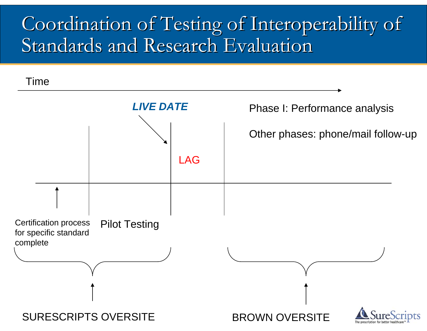### Coordination of Testing of Interoperability of Standards and Research Evaluation

Time

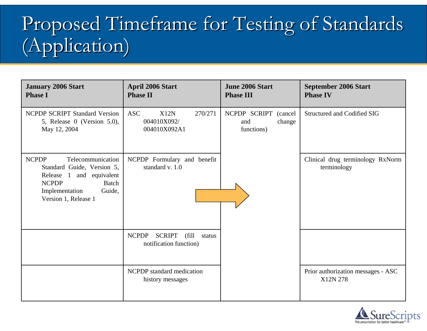# Proposed Timeframe for Testing of Standards (Application) (Application)

| <b>January 2006 Start</b><br><b>Phase I</b>                                                                                                                                                 | <b>April 2006 Start</b><br><b>Phase II</b>                                  | <b>June 2006 Start</b><br><b>Phase III</b>              | <b>September 2006 Start</b><br><b>Phase IV</b>  |
|---------------------------------------------------------------------------------------------------------------------------------------------------------------------------------------------|-----------------------------------------------------------------------------|---------------------------------------------------------|-------------------------------------------------|
| <b>NCPDP SCRIPT Standard Version</b><br>5, Release 0 (Version 5.0),<br>May 12, 2004                                                                                                         | <b>ASC</b><br>X12N<br>270/271<br>004010X092/<br>004010X092A1                | NCPDP SCRIPT<br>(cancel)<br>and<br>change<br>functions) | <b>Structured and Codified SIG</b>              |
| <b>NCPDP</b><br>Telecommunication<br>Standard Guide, Version 5,<br>Release<br>$\overline{1}$<br>and equivalent<br><b>NCPDP</b><br>Batch<br>Implementation<br>Guide,<br>Version 1, Release 1 | NCPDP Formulary and benefit<br>standard v. 1.0                              |                                                         | Clinical drug terminology RxNorm<br>terminology |
|                                                                                                                                                                                             | <b>NCPDP</b><br><b>SCRIPT</b><br>(fill)<br>status<br>notification function) |                                                         |                                                 |
|                                                                                                                                                                                             | NCPDP standard medication<br>history messages                               |                                                         | Prior authorization messages - ASC<br>X12N 278  |

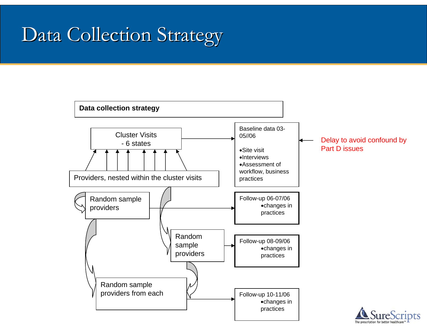## Data Collection Strategy

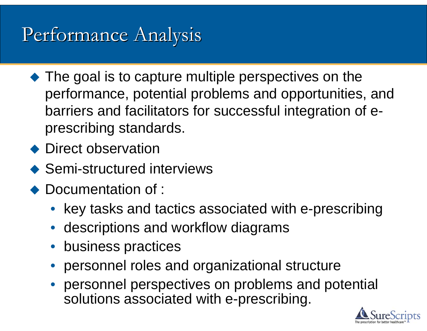## Performance Analysis

- The goal is to capture multiple perspectives on the performance, potential problems and opportunities, and barriers and facilitators for successful integration of eprescribing standards.
- ◆ Direct observation
- ◆ Semi-structured interviews
- $\blacklozenge$  Documentation of :
	- key tasks and tactics associated with e-prescribing
	- descriptions and workflow diagrams
	- business practices
	- personnel roles and organizational structure
	- personnel perspectives on problems and potential solutions associated with e-prescribing.

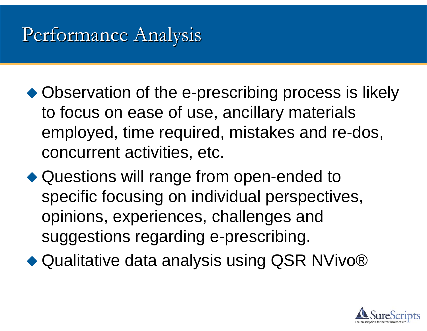## Performance Analysis

- ◆ Observation of the e-prescribing process is likely to focus on ease of use, ancillary materials employed, time required, mistakes and re-dos, concurrent activities, etc.
- ◆ Questions will range from open-ended to specific focusing on individual perspectives, opinions, experiences, challenges and suggestions regarding e-prescribing.
- ◆ Qualitative data analysis using QSR NVivo®

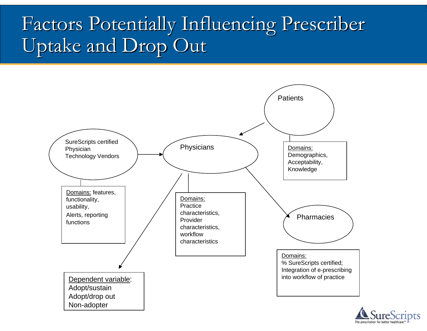## Factors Potentially Influencing Prescriber Uptake and Drop Out



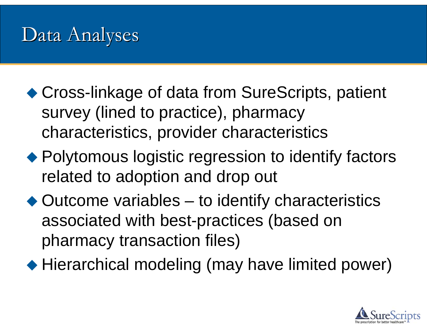### Data Analyses

- ◆ Cross-linkage of data from SureScripts, patient survey (lined to practice), pharmacy characteristics, provider characteristics
- ◆ Polytomous logistic regression to identify factors related to adoption and drop out
- ◆ Outcome variables to identify characteristics associated with best-practices (based on pharmacy transaction files)
- ◆ Hierarchical modeling (may have limited power)